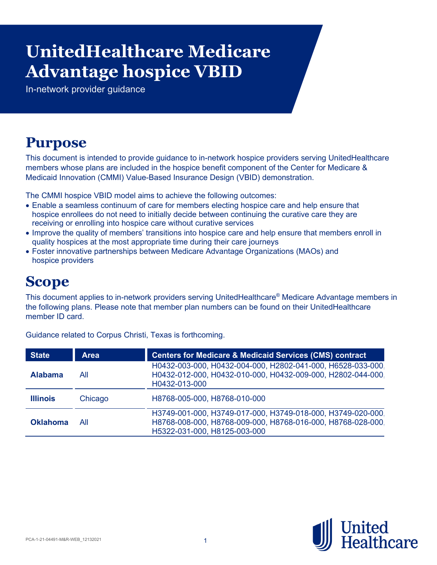# **Advantage hospice VBID UnitedHealthcare Medicare**

In-network provider guidance

# **Purpose**

This document is intended to provide guidance to in-network hospice providers serving UnitedHealthcare members whose plans are included in the hospice benefit component of the Center for Medicare & Medicaid Innovation (CMMI) Value-Based Insurance Design (VBID) demonstration.

The CMMI hospice VBID model aims to achieve the following outcomes:

- Enable a seamless continuum of care for members electing hospice care and help ensure that hospice enrollees do not need to initially decide between continuing the curative care they are receiving or enrolling into hospice care without curative services
- Improve the quality of members' transitions into hospice care and help ensure that members enroll in quality hospices at the most appropriate time during their care journeys
- Foster innovative partnerships between Medicare Advantage Organizations (MAOs) and hospice providers

## **Scope**

This document applies to in-network providers serving UnitedHealthcare® Medicare Advantage members in the following plans. Please note that member plan numbers can be found on their UnitedHealthcare member ID card.

| <b>State</b>    | <b>Area</b> | <b>Centers for Medicare &amp; Medicaid Services (CMS) contract</b>                                                                                         |
|-----------------|-------------|------------------------------------------------------------------------------------------------------------------------------------------------------------|
| <b>Alabama</b>  | All         | H0432-003-000, H0432-004-000, H2802-041-000, H6528-033-000,<br>H0432-012-000, H0432-010-000, H0432-009-000, H2802-044-000,<br>H0432-013-000                |
| <b>Illinois</b> | Chicago     | H8768-005-000, H8768-010-000                                                                                                                               |
| <b>Oklahoma</b> | All         | H3749-001-000, H3749-017-000, H3749-018-000, H3749-020-000,<br>H8768-008-000, H8768-009-000, H8768-016-000, H8768-028-000,<br>H5322-031-000, H8125-003-000 |

Guidance related to Corpus Christi, Texas is forthcoming.

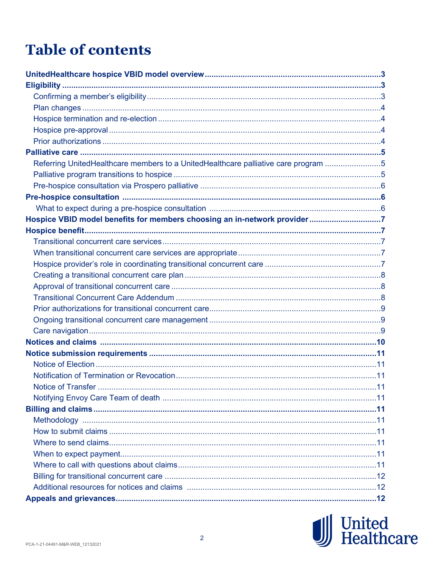# **Table of contents**

| Referring UnitedHealthcare members to a UnitedHealthcare palliative care program 5 |  |
|------------------------------------------------------------------------------------|--|
|                                                                                    |  |
|                                                                                    |  |
|                                                                                    |  |
|                                                                                    |  |
| Hospice VBID model benefits for members choosing an in-network provider7           |  |
|                                                                                    |  |
|                                                                                    |  |
|                                                                                    |  |
|                                                                                    |  |
|                                                                                    |  |
|                                                                                    |  |
|                                                                                    |  |
|                                                                                    |  |
|                                                                                    |  |
|                                                                                    |  |
|                                                                                    |  |
|                                                                                    |  |
|                                                                                    |  |
|                                                                                    |  |
|                                                                                    |  |
|                                                                                    |  |
|                                                                                    |  |
|                                                                                    |  |
|                                                                                    |  |
|                                                                                    |  |
|                                                                                    |  |
|                                                                                    |  |
|                                                                                    |  |
|                                                                                    |  |
|                                                                                    |  |

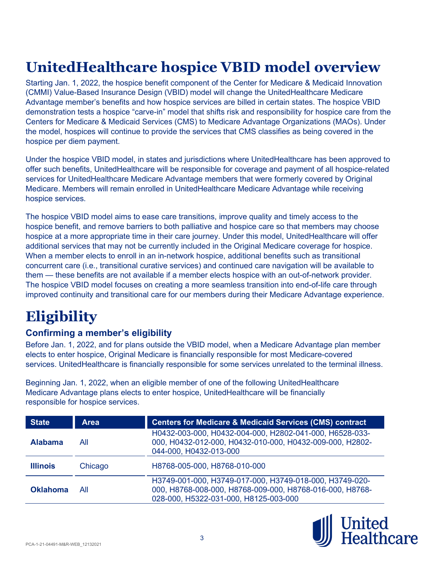# **UnitedHealthcare hospice VBID model overview**

Starting Jan. 1, 2022, the [hospice benefit component](https://innovation.cms.gov/innovation-models/vbid-hospice-benefit-overview) of the Center for Medicare & Medicaid Innovation (CMMI) Value-Based Insurance Design (VBID) model will change the UnitedHealthcare Medicare Advantage member's benefits and how hospice services are billed in certain states. The hospice VBID demonstration tests a hospice "carve-in" model that shifts risk and responsibility for hospice care from the Centers for Medicare & Medicaid Services (CMS) to Medicare Advantage Organizations (MAOs). Under the model, hospices will continue to provide the services that CMS classifies as being covered in the hospice per diem payment.

Under the hospice VBID model, in states and jurisdictions where UnitedHealthcare has been approved to offer such benefits, UnitedHealthcare will be responsible for coverage and payment of all hospice-related services for UnitedHealthcare Medicare Advantage members that were formerly covered by Original Medicare. Members will remain enrolled in UnitedHealthcare Medicare Advantage while receiving hospice services.

The hospice VBID model aims to ease care transitions, improve quality and timely access to the hospice benefit, and remove barriers to both palliative and hospice care so that members may choose hospice at a more appropriate time in their care journey. Under this model, UnitedHealthcare will offer additional services that may not be currently included in the Original Medicare coverage for hospice. When a member elects to enroll in an in-network hospice, additional benefits such as transitional concurrent care (i.e., transitional curative services) and continued care navigation will be available to them — these benefits are not available if a member elects hospice with an out-of-network provider. The hospice VBID model focuses on creating a more seamless transition into end-of-life care through improved continuity and transitional care for our members during their Medicare Advantage experience.

# **Eligibility**

## **Confirming a member's eligibility**

Before Jan. 1, 2022, and for plans outside the VBID model, when a Medicare Advantage plan member elects to enter hospice, Original Medicare is financially responsible for most Medicare-covered services. UnitedHealthcare is financially responsible for some services unrelated to the terminal illness.

Beginning Jan. 1, 2022, when an eligible member of one of the following UnitedHealthcare Medicare Advantage plans elects to enter hospice, UnitedHealthcare will be financially responsible for hospice services.

| <b>State</b>    | <b>Area</b> | <b>Centers for Medicare &amp; Medicaid Services (CMS) contract</b>                                                                                           |
|-----------------|-------------|--------------------------------------------------------------------------------------------------------------------------------------------------------------|
| <b>Alabama</b>  | All         | H0432-003-000, H0432-004-000, H2802-041-000, H6528-033-<br>000, H0432-012-000, H0432-010-000, H0432-009-000, H2802-<br>044-000, H0432-013-000                |
| <b>Illinois</b> | Chicago     | H8768-005-000, H8768-010-000                                                                                                                                 |
| <b>Oklahoma</b> | All         | H3749-001-000, H3749-017-000, H3749-018-000, H3749-020-<br>000, H8768-008-000, H8768-009-000, H8768-016-000, H8768-<br>028-000, H5322-031-000, H8125-003-000 |

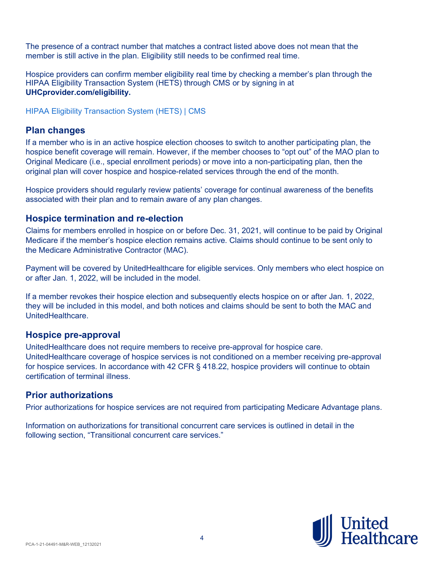The presence of a contract number that matches a contract listed above does not mean that the member is still active in the plan. Eligibility still needs to be confirmed real time.

Hospice providers can confirm member eligibility real time by checking a member's plan through the HIPAA Eligibility Transaction System (HETS) through CMS or by signing in at **UHCprovider.com/eligibility.**

HIPAA Eligibility [Transaction System \(HETS\) | CMS](https://www.cms.gov/Research-Statistics-Data-and-Systems/CMS-Information-Technology/HETSHelp)

#### **Plan changes**

If a member who is in an active hospice election chooses to switch to another participating plan, the hospice benefit coverage will remain. However, if the member chooses to "opt out" of the MAO plan to Original Medicare (i.e., special enrollment periods) or move into a non-participating plan, then the original plan will cover hospice and hospice-related services through the end of the month.

Hospice providers should regularly review patients' coverage for continual awareness of the benefits associated with their plan and to remain aware of any plan changes.

### **Hospice termination and re-election**

Claims for members enrolled in hospice on or before Dec. 31, 2021, will continue to be paid by Original Medicare if the member's hospice election remains active. Claims should continue to be sent only to the Medicare Administrative Contractor (MAC).

Payment will be covered by UnitedHealthcare for eligible services. Only members who elect hospice on or after Jan. 1, 2022, will be included in the model.

If a member revokes their hospice election and subsequently elects hospice on or after Jan. 1, 2022, they will be included in this model, and both notices and claims should be sent to both the MAC and UnitedHealthcare.

#### **Hospice pre-approval**

UnitedHealthcare does not require members to receive pre-approval for hospice care. UnitedHealthcare coverage of hospice services is not conditioned on a member receiving pre-approval for hospice services. In accordance with 42 CFR § 418.22, hospice providers will continue to obtain certification of terminal illness.

#### **Prior authorizations**

Prior authorizations for hospice services are not required from participating Medicare Advantage plans.

Information on authorizations for transitional concurrent care services is outlined in detail in the following section, "Transitional concurrent care services."

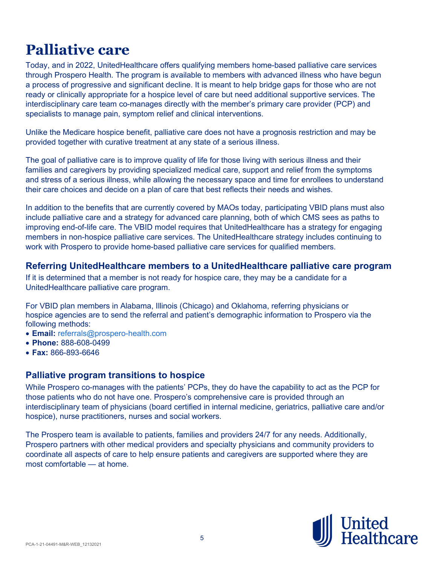# **Palliative care**

Today, and in 2022, UnitedHealthcare offers qualifying members home-based palliative care services through Prospero Health. The program is available to members with advanced illness who have begun a process of progressive and significant decline. It is meant to help bridge gaps for those who are not ready or clinically appropriate for a hospice level of care but need additional supportive services. The interdisciplinary care team co-manages directly with the member's primary care provider (PCP) and specialists to manage pain, symptom relief and clinical interventions.

Unlike the Medicare hospice benefit, palliative care does not have a prognosis restriction and may be provided together with curative treatment at any state of a serious illness.

The goal of palliative care is to improve quality of life for those living with serious illness and their families and caregivers by providing specialized medical care, support and relief from the symptoms and stress of a serious illness, while allowing the necessary space and time for enrollees to understand their care choices and decide on a plan of care that best reflects their needs and wishes.

In addition to the benefits that are currently covered by MAOs today, participating VBID plans must also include palliative care and a strategy for advanced care planning, both of which CMS sees as paths to improving end-of-life care. The VBID model requires that UnitedHealthcare has a strategy for engaging members in non-hospice palliative care services. The UnitedHealthcare strategy includes continuing to work with Prospero to provide home-based palliative care services for qualified members.

#### **Referring UnitedHealthcare members to a UnitedHealthcare palliative care program**

If it is determined that a member is not ready for hospice care, they may be a candidate for a UnitedHealthcare palliative care program.

For VBID plan members in Alabama, Illinois (Chicago) and Oklahoma, referring physicians or hospice agencies are to send the referral and patient's demographic information to Prospero via the following methods:

- **Email:** [referrals@prospero-health.com](mailto:referrals@prospero-health.com)
- **Phone:** 888-608-0499
- **Fax:** 866-893-6646

#### **Palliative program transitions to hospice**

While Prospero co-manages with the patients' PCPs, they do have the capability to act as the PCP for those patients who do not have one. Prospero's comprehensive care is provided through an interdisciplinary team of physicians (board certified in internal medicine, geriatrics, palliative care and/or hospice), nurse practitioners, nurses and social workers.

The Prospero team is available to patients, families and providers 24/7 for any needs. Additionally, Prospero partners with other medical providers and specialty physicians and community providers to coordinate all aspects of care to help ensure patients and caregivers are supported where they are most comfortable — at home.

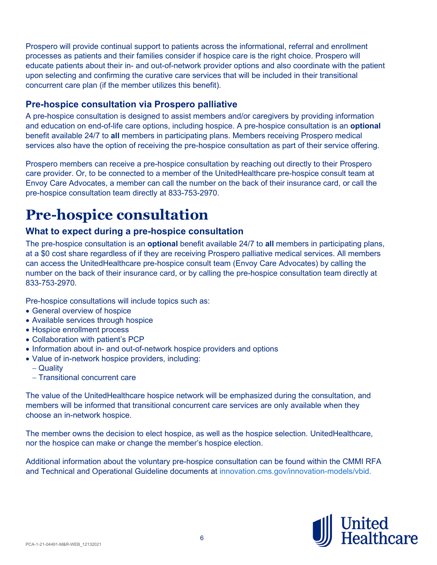Prospero will provide continual support to patients across the informational, referral and enrollment processes as patients and their families consider if hospice care is the right choice. Prospero will educate patients about their in- and out-of-network provider options and also coordinate with the patient upon selecting and confirming the curative care services that will be included in their transitional concurrent care plan (if the member utilizes this benefit).

### **Pre-hospice consultation via Prospero palliative**

A pre-hospice consultation is designed to assist members and/or caregivers by providing information and education on end-of-life care options, including hospice. A pre-hospice consultation is an **optional** benefit available 24/7 to **all** members in participating plans. Members receiving Prospero medical services also have the option of receiving the pre-hospice consultation as part of their service offering.

Prospero members can receive a pre-hospice consultation by reaching out directly to their Prospero care provider. Or, to be connected to a member of the UnitedHealthcare pre-hospice consult team at Envoy Care Advocates, a member can call the number on the back of their insurance card, or call the pre-hospice consultation team directly at 833-753-2970.

# **Pre-hospice consultation**

#### **What to expect during a pre-hospice consultation**

The pre-hospice consultation is an **optional** benefit available 24/7 to **all** members in participating plans, at a \$0 cost share regardless of if they are receiving Prospero palliative medical services. All members can access the UnitedHealthcare pre-hospice consult team (Envoy Care Advocates) by calling the number on the back of their insurance card, or by calling the pre-hospice consultation team directly at 833-753-2970.

Pre-hospice consultations will include topics such as:

- General overview of hospice
- Available services through hospice
- Hospice enrollment process
- Collaboration with patient's PCP
- Information about in- and out-of-network hospice providers and options
- Value of in-network hospice providers, including:
	- − Quality
	- − Transitional concurrent care

The value of the UnitedHealthcare hospice network will be emphasized during the consultation, and members will be informed that transitional concurrent care services are only available when they choose an in-network hospice.

The member owns the decision to elect hospice, as well as the hospice selection. UnitedHealthcare, nor the hospice can make or change the member's hospice election.

Additional information about the voluntary pre-hospice consultation can be found within the CMMI RFA and Technical and Operational Guideline documents at [innovation.cms.gov/innovation-models/vbid.](https://innovation.cms.gov/innovation-models/vbid)

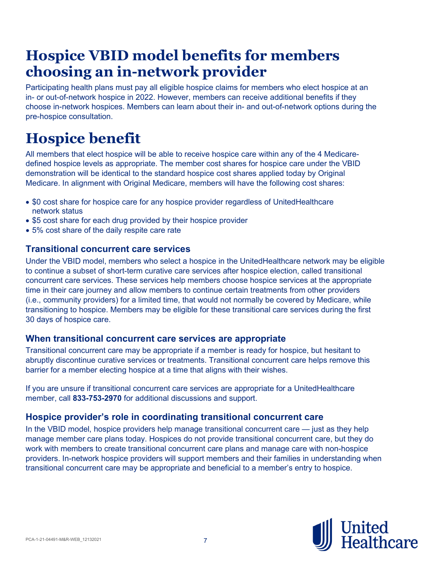# **Hospice VBID model benefits for members choosing an in-network provider**

Participating health plans must pay all eligible hospice claims for members who elect hospice at an in- or out-of-network hospice in 2022. However, members can receive additional benefits if they choose in-network hospices. Members can learn about their in- and out-of-network options during the pre-hospice consultation.

# **Hospice benefit**

All members that elect hospice will be able to receive hospice care within any of the 4 Medicaredefined hospice levels as appropriate. The member cost shares for hospice care under the VBID demonstration will be identical to the standard hospice cost shares applied today by Original Medicare. In alignment with Original Medicare, members will have the following cost shares:

- \$0 cost share for hospice care for any hospice provider regardless of UnitedHealthcare network status
- \$5 cost share for each drug provided by their hospice provider
- 5% cost share of the daily respite care rate

#### **Transitional concurrent care services**

Under the VBID model, members who select a hospice in the UnitedHealthcare network may be eligible to continue a subset of short-term curative care services after hospice election, called transitional concurrent care services. These services help members choose hospice services at the appropriate time in their care journey and allow members to continue certain treatments from other providers (i.e., community providers) for a limited time, that would not normally be covered by Medicare, while transitioning to hospice. Members may be eligible for these transitional care services during the first 30 days of hospice care.

#### **When transitional concurrent care services are appropriate**

Transitional concurrent care may be appropriate if a member is ready for hospice, but hesitant to abruptly discontinue curative services or treatments. Transitional concurrent care helps remove this barrier for a member electing hospice at a time that aligns with their wishes.

If you are unsure if transitional concurrent care services are appropriate for a UnitedHealthcare member, call **833-753-2970** for additional discussions and support.

#### **Hospice provider's role in coordinating transitional concurrent care**

In the VBID model, hospice providers help manage transitional concurrent care — just as they help manage member care plans today. Hospices do not provide transitional concurrent care, but they do work with members to create transitional concurrent care plans and manage care with non-hospice providers. In-network hospice providers will support members and their families in understanding when transitional concurrent care may be appropriate and beneficial to a member's entry to hospice.

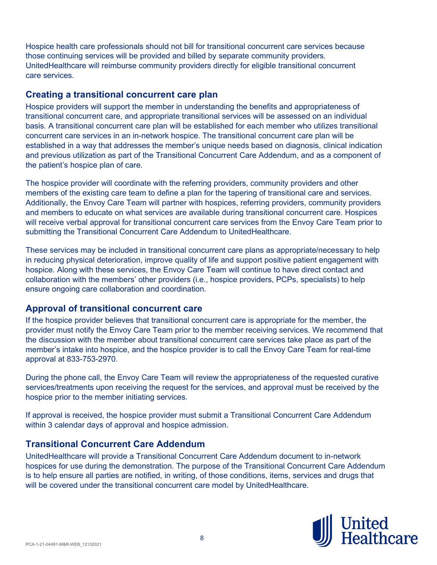Hospice health care professionals should not bill for transitional concurrent care services because those continuing services will be provided and billed by separate community providers. UnitedHealthcare will reimburse community providers directly for eligible transitional concurrent care services.

#### **Creating a transitional concurrent care plan**

Hospice providers will support the member in understanding the benefits and appropriateness of transitional concurrent care, and appropriate transitional services will be assessed on an individual basis. A transitional concurrent care plan will be established for each member who utilizes transitional concurrent care services in an in-network hospice. The transitional concurrent care plan will be established in a way that addresses the member's unique needs based on diagnosis, clinical indication and previous utilization as part of the Transitional Concurrent Care Addendum, and as a component of the patient's hospice plan of care.

The hospice provider will coordinate with the referring providers, community providers and other members of the existing care team to define a plan for the tapering of transitional care and services. Additionally, the Envoy Care Team will partner with hospices, referring providers, community providers and members to educate on what services are available during transitional concurrent care. Hospices will receive verbal approval for transitional concurrent care services from the Envoy Care Team prior to submitting the Transitional Concurrent Care Addendum to UnitedHealthcare.

These services may be included in transitional concurrent care plans as appropriate/necessary to help in reducing physical deterioration, improve quality of life and support positive patient engagement with hospice. Along with these services, the Envoy Care Team will continue to have direct contact and collaboration with the members' other providers (i.e., hospice providers, PCPs, specialists) to help ensure ongoing care collaboration and coordination.

#### **Approval of transitional concurrent care**

If the hospice provider believes that transitional concurrent care is appropriate for the member, the provider must notify the Envoy Care Team prior to the member receiving services. We recommend that the discussion with the member about transitional concurrent care services take place as part of the member's intake into hospice, and the hospice provider is to call the Envoy Care Team for real-time approval at 833-753-2970.

During the phone call, the Envoy Care Team will review the appropriateness of the requested curative services/treatments upon receiving the request for the services, and approval must be received by the hospice prior to the member initiating services.

If approval is received, the hospice provider must submit a Transitional Concurrent Care Addendum within 3 calendar days of approval and hospice admission.

#### **Transitional Concurrent Care Addendum**

UnitedHealthcare will provide a Transitional Concurrent Care Addendum document to in-network hospices for use during the demonstration. The purpose of the Transitional Concurrent Care Addendum is to help ensure all parties are notified, in writing, of those conditions, items, services and drugs that will be covered under the transitional concurrent care model by UnitedHealthcare.

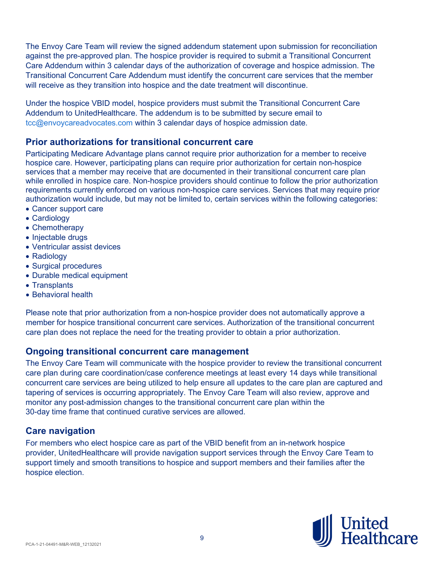The Envoy Care Team will review the signed addendum statement upon submission for reconciliation against the pre-approved plan. The hospice provider is required to submit a Transitional Concurrent Care Addendum within 3 calendar days of the authorization of coverage and hospice admission. The Transitional Concurrent Care Addendum must identify the concurrent care services that the member will receive as they transition into hospice and the date treatment will discontinue.

Under the hospice VBID model, hospice providers must submit the Transitional Concurrent Care Addendum to UnitedHealthcare. The addendum is to be submitted by secure email to tcc@envoycareadvocates.com within 3 calendar days of hospice admission date.

#### **Prior authorizations for transitional concurrent care**

Participating Medicare Advantage plans cannot require prior authorization for a member to receive hospice care. However, participating plans can require prior authorization for certain non-hospice services that a member may receive that are documented in their transitional concurrent care plan while enrolled in hospice care. Non-hospice providers should continue to follow the prior authorization requirements currently enforced on various non-hospice care services. Services that may require prior authorization would include, but may not be limited to, certain services within the following categories:

- Cancer support care
- Cardiology
- Chemotherapy
- Injectable drugs
- Ventricular assist devices
- Radiology
- Surgical procedures
- Durable medical equipment
- Transplants
- Behavioral health

Please note that prior authorization from a non-hospice provider does not automatically approve a member for hospice transitional concurrent care services. Authorization of the transitional concurrent care plan does not replace the need for the treating provider to obtain a prior authorization.

#### **Ongoing transitional concurrent care management**

The Envoy Care Team will communicate with the hospice provider to review the transitional concurrent care plan during care coordination/case conference meetings at least every 14 days while transitional concurrent care services are being utilized to help ensure all updates to the care plan are captured and tapering of services is occurring appropriately. The Envoy Care Team will also review, approve and monitor any post-admission changes to the transitional concurrent care plan within the 30-day time frame that continued curative services are allowed.

#### **Care navigation**

For members who elect hospice care as part of the VBID benefit from an in-network hospice provider, UnitedHealthcare will provide navigation support services through the Envoy Care Team to support timely and smooth transitions to hospice and support members and their families after the hospice election.

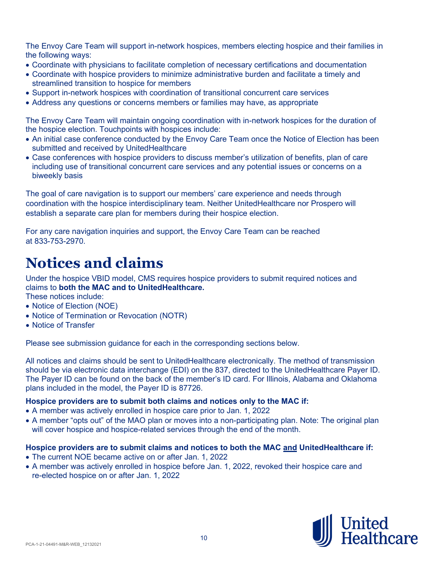The Envoy Care Team will support in-network hospices, members electing hospice and their families in the following ways:

- Coordinate with physicians to facilitate completion of necessary certifications and documentation
- Coordinate with hospice providers to minimize administrative burden and facilitate a timely and streamlined transition to hospice for members
- Support in-network hospices with coordination of transitional concurrent care services
- Address any questions or concerns members or families may have, as appropriate

The Envoy Care Team will maintain ongoing coordination with in-network hospices for the duration of the hospice election. Touchpoints with hospices include:

- An initial case conference conducted by the Envoy Care Team once the Notice of Election has been submitted and received by UnitedHealthcare
- Case conferences with hospice providers to discuss member's utilization of benefits, plan of care including use of transitional concurrent care services and any potential issues or concerns on a biweekly basis

The goal of care navigation is to support our members' care experience and needs through coordination with the hospice interdisciplinary team. Neither UnitedHealthcare nor Prospero will establish a separate care plan for members during their hospice election.

For any care navigation inquiries and support, the Envoy Care Team can be reached at 833-753-2970.

## **Notices and claims**

Under the hospice VBID model, CMS requires hospice providers to submit required notices and claims to **both the MAC and to UnitedHealthcare.** These notices include:

- 
- Notice of Election (NOE)
- Notice of Termination or Revocation (NOTR)
- Notice of Transfer

Please see submission guidance for each in the corresponding sections below.

All notices and claims should be sent to UnitedHealthcare electronically. The method of transmission should be via electronic data interchange (EDI) on the 837, directed to the UnitedHealthcare Payer ID. The Payer ID can be found on the back of the member's ID card. For Illinois, Alabama and Oklahoma plans included in the model, the Payer ID is 87726.

#### **Hospice providers are to submit both claims and notices only to the MAC if:**

- A member was actively enrolled in hospice care prior to Jan. 1, 2022
- A member "opts out" of the MAO plan or moves into a non-participating plan. Note: The original plan will cover hospice and hospice-related services through the end of the month.

#### **Hospice providers are to submit claims and notices to both the MAC and UnitedHealthcare if:**

- The current NOE became active on or after Jan. 1, 2022
- A member was actively enrolled in hospice before Jan. 1, 2022, revoked their hospice care and re-elected hospice on or after Jan. 1, 2022

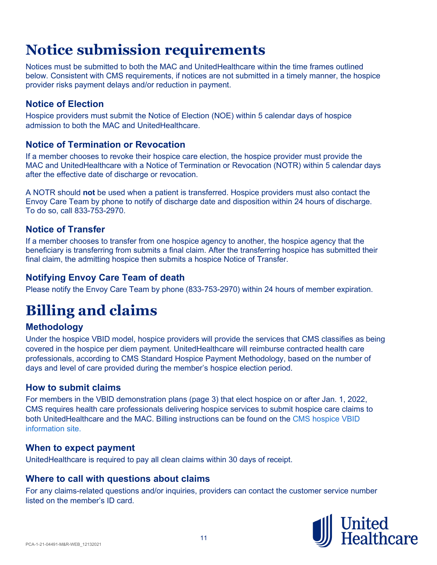Notices must be submitted to both the MAC and UnitedHealthcare within the time frames outlined below. Consistent with CMS requirements, if notices are not submitted in a timely manner, the hospice provider risks payment delays and/or reduction in payment.

### **Notice of Election**

Hospice providers must submit the Notice of Election (NOE) within 5 calendar days of hospice admission to both the MAC and UnitedHealthcare.

### **Notice of Termination or Revocation**

If a member chooses to revoke their hospice care election, the hospice provider must provide the MAC and UnitedHealthcare with a Notice of Termination or Revocation (NOTR) within 5 calendar days after the effective date of discharge or revocation.

A NOTR should **not** be used when a patient is transferred. Hospice providers must also contact the Envoy Care Team by phone to notify of discharge date and disposition within 24 hours of discharge. To do so, call 833-753-2970.

### **Notice of Transfer**

If a member chooses to transfer from one hospice agency to another, the hospice agency that the beneficiary is transferring from submits a final claim. After the transferring hospice has submitted their final claim, the admitting hospice then submits a hospice Notice of Transfer.

### **Notifying Envoy Care Team of death**

Please notify the Envoy Care Team by phone (833-753-2970) within 24 hours of member expiration.

# **Billing and claims**

## **Methodology**

Under the hospice VBID model, hospice providers will provide the services that CMS classifies as being covered in the hospice per diem payment. UnitedHealthcare will reimburse contracted health care professionals, according to CMS Standard Hospice Payment Methodology, based on the number of days and level of care provided during the member's hospice election period.

### **How to submit claims**

For members in the VBID demonstration plans (page 3) that elect hospice on or after Jan. 1, 2022, CMS requires health care professionals delivering hospice services to submit hospice care claims to both UnitedHealthcare and the MAC. Billing instructions can be found on the CMS [hospice VBID](https://innovation.cms.gov/innovation-models/vbid-hospice-benefit-billing-payment)  [information site.](https://innovation.cms.gov/innovation-models/vbid-hospice-benefit-billing-payment)

### **When to expect payment**

UnitedHealthcare is required to pay all clean claims within 30 days of receipt.

### **Where to call with questions about claims**

For any claims-related questions and/or inquiries, providers can contact the customer service number listed on the member's ID card.